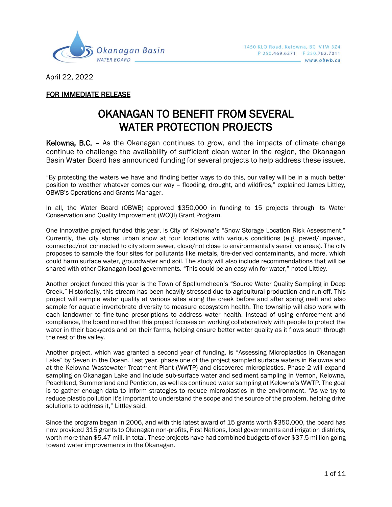

April 22, 2022

## FOR IMMEDIATE RELEASE

## OKANAGAN TO BENEFIT FROM SEVERAL WATER PROTECTION PROJECTS

Kelowna, B.C. – As the Okanagan continues to grow, and the impacts of climate change continue to challenge the availability of sufficient clean water in the region, the Okanagan Basin Water Board has announced funding for several projects to help address these issues.

"By protecting the waters we have and finding better ways to do this, our valley will be in a much better position to weather whatever comes our way – flooding, drought, and wildfires," explained James Littley, OBWB's Operations and Grants Manager.

In all, the Water Board (OBWB) approved \$350,000 in funding to 15 projects through its Water Conservation and Quality Improvement (WCQI) Grant Program.

One innovative project funded this year, is City of Kelowna's "Snow Storage Location Risk Assessment." Currently, the city stores urban snow at four locations with various conditions (e.g. paved/unpaved, connected/not connected to city storm sewer, close/not close to environmentally sensitive areas). The city proposes to sample the four sites for pollutants like metals, tire-derived contaminants, and more, which could harm surface water, groundwater and soil. The study will also include recommendations that will be shared with other Okanagan local governments. "This could be an easy win for water," noted Littley.

Another project funded this year is the Town of Spallumcheen's "Source Water Quality Sampling in Deep Creek." Historically, this stream has been heavily stressed due to agricultural production and run-off. This project will sample water quality at various sites along the creek before and after spring melt and also sample for aquatic invertebrate diversity to measure ecosystem health. The township will also work with each landowner to fine-tune prescriptions to address water health. Instead of using enforcement and compliance, the board noted that this project focuses on working collaboratively with people to protect the water in their backyards and on their farms, helping ensure better water quality as it flows south through the rest of the valley.

Another project, which was granted a second year of funding, is "Assessing Microplastics in Okanagan Lake" by Seven in the Ocean. Last year, phase one of the project sampled surface waters in Kelowna and at the Kelowna Wastewater Treatment Plant (WWTP) and discovered microplastics. Phase 2 will expand sampling on Okanagan Lake and include sub-surface water and sediment sampling in Vernon, Kelowna, Peachland, Summerland and Penticton, as well as continued water sampling at Kelowna's WWTP. The goal is to gather enough data to inform strategies to reduce microplastics in the environment. "As we try to reduce plastic pollution it's important to understand the scope and the source of the problem, helping drive solutions to address it," Littley said.

Since the program began in 2006, and with this latest award of 15 grants worth \$350,000, the board has now provided 315 grants to Okanagan non-profits, First Nations, local governments and irrigation districts, worth more than \$5.47 mill. in total. These projects have had combined budgets of over \$37.5 million going toward water improvements in the Okanagan.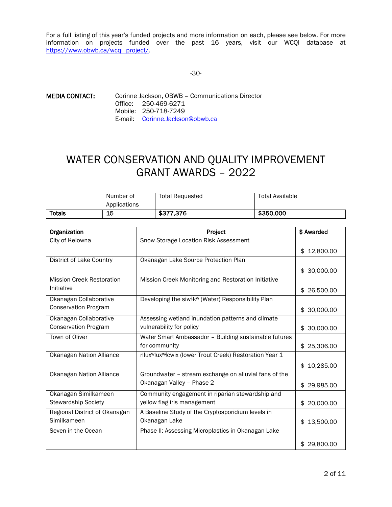For a full listing of this year's funded projects and more information on each, please see below. For more information on projects funded over the past 16 years, visit our WCQI database at https://www.obwb.ca/wcqi\_project/.

## -30-

MEDIA CONTACT: Corinne Jackson, OBWB – Communications Director Office: 250-469-6271 Mobile: 250-718-7249 E-mail: Corinne.Jackson@obwb.ca

## WATER CONSERVATION AND QUALITY IMPROVEMENT GRANT AWARDS – 2022

|        | Number of    | <b>Total Requested</b> | Total Available |
|--------|--------------|------------------------|-----------------|
|        | Applications |                        |                 |
| Totals | 15           | \$377,376              | \$350,000       |

| Organization                     | Project                                                                         | \$ Awarded      |
|----------------------------------|---------------------------------------------------------------------------------|-----------------|
| City of Kelowna                  | Snow Storage Location Risk Assessment                                           |                 |
|                                  |                                                                                 | \$12,800.00     |
| District of Lake Country         | Okanagan Lake Source Protection Plan                                            |                 |
|                                  |                                                                                 | \$30,000.00     |
| <b>Mission Creek Restoration</b> | Mission Creek Monitoring and Restoration Initiative                             |                 |
| Initiative                       |                                                                                 | \$26,500.00     |
| Okanagan Collaborative           | Developing the siwłk <sup>w</sup> (Water) Responsibility Plan                   |                 |
| <b>Conservation Program</b>      |                                                                                 | \$30,000.00     |
| Okanagan Collaborative           | Assessing wetland inundation patterns and climate                               |                 |
| <b>Conservation Program</b>      | vulnerability for policy                                                        | \$30,000.00     |
| Town of Oliver                   | Water Smart Ambassador - Building sustainable futures                           |                 |
|                                  | for community                                                                   | \$25,306.00     |
| <b>Okanagan Nation Alliance</b>  | nlux <sup>w</sup> lux <sup>w</sup> łcwix (lower Trout Creek) Restoration Year 1 |                 |
|                                  |                                                                                 | \$10,285.00     |
| <b>Okanagan Nation Alliance</b>  | Groundwater - stream exchange on alluvial fans of the                           |                 |
|                                  | Okanagan Valley - Phase 2                                                       | \$29,985.00     |
| Okanagan Similkameen             | Community engagement in riparian stewardship and                                |                 |
| Stewardship Society              | yellow flag iris management                                                     | \$20,000.00     |
| Regional District of Okanagan    | A Baseline Study of the Cryptosporidium levels in                               |                 |
| Similkameen                      | Okanagan Lake                                                                   | 13,500.00<br>\$ |
| Seven in the Ocean               | Phase II: Assessing Microplastics in Okanagan Lake                              |                 |
|                                  |                                                                                 | \$29,800.00     |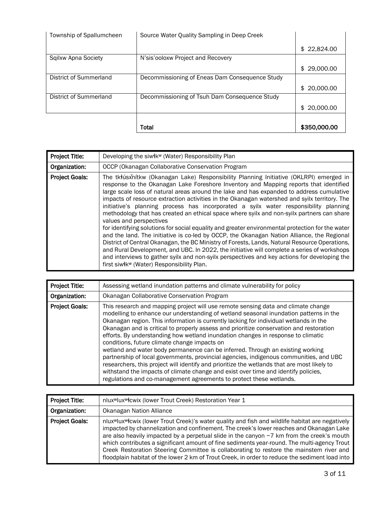| Township of Spallumcheen | Source Water Quality Sampling in Deep Creek    |                 |
|--------------------------|------------------------------------------------|-----------------|
|                          |                                                | \$22,824.00     |
| Sqilxw Apna Society      | N'sis'ooloxw Project and Recovery              |                 |
|                          |                                                | \$29,000.00     |
| District of Summerland   | Decommissioning of Eneas Dam Consequence Study |                 |
|                          |                                                | 20,000.00<br>\$ |
| District of Summerland   | Decommissioning of Tsuh Dam Consequence Study  |                 |
|                          |                                                | 20,000.00<br>\$ |
|                          |                                                |                 |
|                          | Total                                          | \$350,000.00    |

| <b>Project Title:</b> | Developing the siwik <sup>w</sup> (Water) Responsibility Plan                                                                                                                                                                                                                                                                                                                                                                                                                                                                                                                                                                                                                                                                                                                                                                                                                                                                                                                                                                                                                                                                                           |
|-----------------------|---------------------------------------------------------------------------------------------------------------------------------------------------------------------------------------------------------------------------------------------------------------------------------------------------------------------------------------------------------------------------------------------------------------------------------------------------------------------------------------------------------------------------------------------------------------------------------------------------------------------------------------------------------------------------------------------------------------------------------------------------------------------------------------------------------------------------------------------------------------------------------------------------------------------------------------------------------------------------------------------------------------------------------------------------------------------------------------------------------------------------------------------------------|
| Organization:         | OCCP (Okanagan Collaborative Conservation Program                                                                                                                                                                                                                                                                                                                                                                                                                                                                                                                                                                                                                                                                                                                                                                                                                                                                                                                                                                                                                                                                                                       |
| <b>Project Goals:</b> | The tkłúsxňítkw (Okanagan Lake) Responsibility Planning Initiative (OKLRPI) emerged in<br>response to the Okanagan Lake Foreshore Inventory and Mapping reports that identified<br>large scale loss of natural areas around the lake and has expanded to address cumulative<br>impacts of resource extraction activities in the Okanagan watershed and syilx territory. The<br>initiative's planning process has incorporated a syilx water responsibility planning<br>methodology that has created an ethical space where syilx and non-syilx partners can share<br>values and perspectives<br>for identifying solutions for social equality and greater environmental protection for the water<br>and the land. The initiative is co-led by OCCP, the Okanagan Nation Alliance, the Regional<br>District of Central Okanagan, the BC Ministry of Forests, Lands, Natural Resource Operations,<br>and Rural Development, and UBC. In 2022, the initiative will complete a series of workshops<br>and interviews to gather syilx and non-syilx perspectives and key actions for developing the<br>first siwłk <sup>w</sup> (Water) Responsibility Plan. |

| <b>Project Title:</b> | Assessing wetland inundation patterns and climate vulnerability for policy                                                                                                                                                                                                                                                                                                                                                                                                                                                                                                                                                                                                                                                                                                                                                                                                                                                                 |
|-----------------------|--------------------------------------------------------------------------------------------------------------------------------------------------------------------------------------------------------------------------------------------------------------------------------------------------------------------------------------------------------------------------------------------------------------------------------------------------------------------------------------------------------------------------------------------------------------------------------------------------------------------------------------------------------------------------------------------------------------------------------------------------------------------------------------------------------------------------------------------------------------------------------------------------------------------------------------------|
| Organization:         | Okanagan Collaborative Conservation Program                                                                                                                                                                                                                                                                                                                                                                                                                                                                                                                                                                                                                                                                                                                                                                                                                                                                                                |
| <b>Project Goals:</b> | This research and mapping project will use remote sensing data and climate change<br>modelling to enhance our understanding of wetland seasonal inundation patterns in the<br>Okanagan region. This information is currently lacking for individual wetlands in the<br>Okanagan and is critical to properly assess and prioritize conservation and restoration<br>efforts. By understanding how wetland inundation changes in response to climatic<br>conditions, future climate change impacts on<br>wetland and water body permanence can be inferred. Through an existing working<br>partnership of local governments, provincial agencies, indigenous communities, and UBC<br>researchers, this project will identify and prioritize the wetlands that are most likely to<br>withstand the impacts of climate change and exist over time and identify policies,<br>regulations and co-management agreements to protect these wetlands. |

| <b>Project Title:</b> | nlux <sup>w</sup> lux <sup>w</sup> łcwix (lower Trout Creek) Restoration Year 1                                                                                                                                                                                                                                                                                                                                                                                                                                                                                                                               |
|-----------------------|---------------------------------------------------------------------------------------------------------------------------------------------------------------------------------------------------------------------------------------------------------------------------------------------------------------------------------------------------------------------------------------------------------------------------------------------------------------------------------------------------------------------------------------------------------------------------------------------------------------|
| Organization:         | Okanagan Nation Alliance                                                                                                                                                                                                                                                                                                                                                                                                                                                                                                                                                                                      |
| <b>Project Goals:</b> | nlux <sup>w</sup> lux <sup>w</sup> lcwix (lower Trout Creek)'s water quality and fish and wildlife habitat are negatively<br>impacted by channelization and confinement. The creek's lower reaches and Okanagan Lake<br>are also heavily impacted by a perpetual slide in the canyon ~7 km from the creek's mouth<br>which contributes a significant amount of fine sediments year-round. The multi-agency Trout<br>Creek Restoration Steering Committee is collaborating to restore the mainstem river and<br>floodplain habitat of the lower 2 km of Trout Creek, in order to reduce the sediment load into |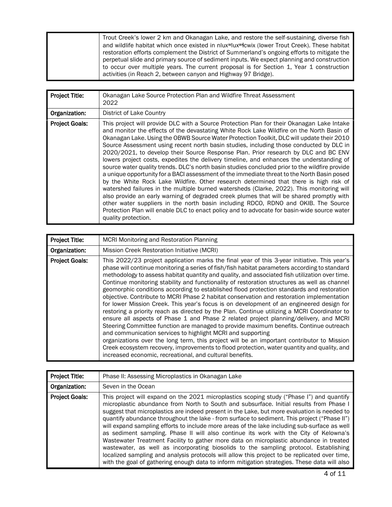| Trout Creek's lower 2 km and Okanagan Lake, and restore the self-sustaining, diverse fish                              |
|------------------------------------------------------------------------------------------------------------------------|
| and wildlife habitat which once existed in nlux <sup>w</sup> lux <sup>w</sup> lcwix (lower Trout Creek). These habitat |
| restoration efforts complement the District of Summerland's ongoing efforts to mitigate the                            |
| perpetual slide and primary source of sediment inputs. We expect planning and construction                             |
| to occur over multiple years. The current proposal is for Section 1, Year 1 construction                               |
| activities (in Reach 2, between canyon and Highway 97 Bridge).                                                         |

| <b>Project Title:</b> | Okanagan Lake Source Protection Plan and Wildfire Threat Assessment<br>2022                                                                                                                                                                                                                                                                                                                                                                                                                                                                                                                                                                                                                                                                                                                                                                                                                                                                                                                                                                                                                                                                                                                                                                                      |
|-----------------------|------------------------------------------------------------------------------------------------------------------------------------------------------------------------------------------------------------------------------------------------------------------------------------------------------------------------------------------------------------------------------------------------------------------------------------------------------------------------------------------------------------------------------------------------------------------------------------------------------------------------------------------------------------------------------------------------------------------------------------------------------------------------------------------------------------------------------------------------------------------------------------------------------------------------------------------------------------------------------------------------------------------------------------------------------------------------------------------------------------------------------------------------------------------------------------------------------------------------------------------------------------------|
| Organization:         | District of Lake Country                                                                                                                                                                                                                                                                                                                                                                                                                                                                                                                                                                                                                                                                                                                                                                                                                                                                                                                                                                                                                                                                                                                                                                                                                                         |
| <b>Project Goals:</b> | This project will provide DLC with a Source Protection Plan for their Okanagan Lake Intake<br>and monitor the effects of the devastating White Rock Lake Wildfire on the North Basin of<br>Okanagan Lake. Using the OBWB Source Water Protection Toolkit, DLC will update their 2010<br>Source Assessment using recent north basin studies, including those conducted by DLC in<br>2020/2021, to develop their Source Response Plan. Prior research by DLC and BC ENV<br>lowers project costs, expedites the delivery timeline, and enhances the understanding of<br>source water quality trends. DLC's north basin studies concluded prior to the wildfire provide<br>a unique opportunity for a BACI assessment of the immediate threat to the North Basin posed<br>by the White Rock Lake Wildfire. Other research determined that there is high risk of<br>watershed failures in the multiple burned watersheds (Clarke, 2022). This monitoring will<br>also provide an early warning of degraded creek plumes that will be shared promptly with<br>other water suppliers in the north basin including RDCO, RDNO and OKIB. The Source<br>Protection Plan will enable DLC to enact policy and to advocate for basin-wide source water<br>quality protection. |

| <b>Project Title:</b> | MCRI Monitoring and Restoration Planning                                                                                                                                                                                                                                                                                                                                                                                                                                                                                                                                                                                                                                                                                                                                                                                                                                                                                                                                                                                                                                                                                                                                                                                                                                                         |
|-----------------------|--------------------------------------------------------------------------------------------------------------------------------------------------------------------------------------------------------------------------------------------------------------------------------------------------------------------------------------------------------------------------------------------------------------------------------------------------------------------------------------------------------------------------------------------------------------------------------------------------------------------------------------------------------------------------------------------------------------------------------------------------------------------------------------------------------------------------------------------------------------------------------------------------------------------------------------------------------------------------------------------------------------------------------------------------------------------------------------------------------------------------------------------------------------------------------------------------------------------------------------------------------------------------------------------------|
| Organization:         | Mission Creek Restoration Initiative (MCRI)                                                                                                                                                                                                                                                                                                                                                                                                                                                                                                                                                                                                                                                                                                                                                                                                                                                                                                                                                                                                                                                                                                                                                                                                                                                      |
| <b>Project Goals:</b> | This 2022/23 project application marks the final year of this 3-year initiative. This year's<br>phase will continue monitoring a series of fish/fish habitat parameters according to standard<br>methodology to assess habitat quantity and quality, and associated fish utilization over time.<br>Continue monitoring stability and functionality of restoration structures as well as channel<br>geomorphic conditions according to established flood protection standards and restoration<br>objective. Contribute to MCRI Phase 2 habitat conservation and restoration implementation<br>for lower Mission Creek. This year's focus is on development of an engineered design for<br>restoring a priority reach as directed by the Plan. Continue utilizing a MCRI Coordinator to<br>ensure all aspects of Phase 1 and Phase 2 related project planning/delivery, and MCRI<br>Steering Committee function are managed to provide maximum benefits. Continue outreach<br>and communication services to highlight MCRI and supporting<br>organizations over the long term, this project will be an important contributor to Mission<br>Creek ecosystem recovery, improvements to flood protection, water quantity and quality, and<br>increased economic, recreational, and cultural benefits. |

| <b>Project Title:</b> | Phase II: Assessing Microplastics in Okanagan Lake                                                                                                                                                                                                                                                                                                                                                                                                                                                                                                                                                                                                                                                                                                                                                                                                                                                                                                               |
|-----------------------|------------------------------------------------------------------------------------------------------------------------------------------------------------------------------------------------------------------------------------------------------------------------------------------------------------------------------------------------------------------------------------------------------------------------------------------------------------------------------------------------------------------------------------------------------------------------------------------------------------------------------------------------------------------------------------------------------------------------------------------------------------------------------------------------------------------------------------------------------------------------------------------------------------------------------------------------------------------|
| Organization:         | Seven in the Ocean                                                                                                                                                                                                                                                                                                                                                                                                                                                                                                                                                                                                                                                                                                                                                                                                                                                                                                                                               |
| <b>Project Goals:</b> | This project will expand on the 2021 microplastics scoping study ("Phase I") and quantify<br>microplastic abundance from North to South and subsurface. Initial results from Phase I<br>suggest that microplastics are indeed present in the Lake, but more evaluation is needed to<br>quantify abundance throughout the lake - from surface to sediment. This project ("Phase II")<br>will expand sampling efforts to include more areas of the lake including sub-surface as well<br>as sediment sampling. Phase II will also continue its work with the City of Kelowna's<br>Wastewater Treatment Facility to gather more data on microplastic abundance in treated<br>wastewater, as well as incorporating biosolids to the sampling protocol. Establishing<br>localized sampling and analysis protocols will allow this project to be replicated over time,<br>with the goal of gathering enough data to inform mitigation strategies. These data will also |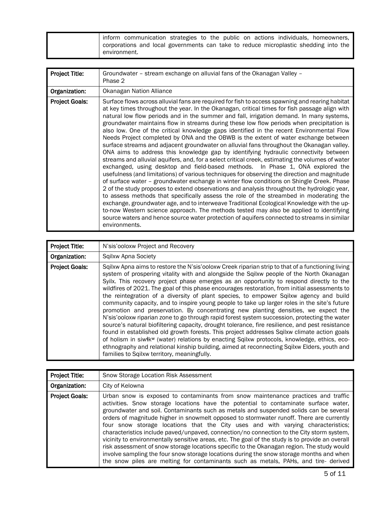| inform communication strategies to the public on actions individuals, homeowners,    |
|--------------------------------------------------------------------------------------|
| corporations and local governments can take to reduce microplastic shedding into the |
| environment.                                                                         |

| Project Title:        | Groundwater - stream exchange on alluvial fans of the Okanagan Valley -<br>Phase 2                                                                                                                                                                                                                                                                                                                                                                                                                                                                                                                                                                                                                                                                                                                                                                                                                                                                                                                                                                                                                                                                                                                                                                                                                                                                                                                                                                                                                                                                                                                                                                    |
|-----------------------|-------------------------------------------------------------------------------------------------------------------------------------------------------------------------------------------------------------------------------------------------------------------------------------------------------------------------------------------------------------------------------------------------------------------------------------------------------------------------------------------------------------------------------------------------------------------------------------------------------------------------------------------------------------------------------------------------------------------------------------------------------------------------------------------------------------------------------------------------------------------------------------------------------------------------------------------------------------------------------------------------------------------------------------------------------------------------------------------------------------------------------------------------------------------------------------------------------------------------------------------------------------------------------------------------------------------------------------------------------------------------------------------------------------------------------------------------------------------------------------------------------------------------------------------------------------------------------------------------------------------------------------------------------|
| Organization:         | Okanagan Nation Alliance                                                                                                                                                                                                                                                                                                                                                                                                                                                                                                                                                                                                                                                                                                                                                                                                                                                                                                                                                                                                                                                                                                                                                                                                                                                                                                                                                                                                                                                                                                                                                                                                                              |
| <b>Project Goals:</b> | Surface flows across alluvial fans are required for fish to access spawning and rearing habitat<br>at key times throughout the year. In the Okanagan, critical times for fish passage align with<br>natural low flow periods and in the summer and fall, irrigation demand. In many systems,<br>groundwater maintains flow in streams during these low flow periods when precipitation is<br>also low. One of the critical knowledge gaps identified in the recent Environmental Flow<br>Needs Project completed by ONA and the OBWB is the extent of water exchange between<br>surface streams and adjacent groundwater on alluvial fans throughout the Okanagan valley.<br>ONA aims to address this knowledge gap by identifying hydraulic connectivity between<br>streams and alluvial aquifers, and, for a select critical creek, estimating the volumes of water<br>exchanged, using desktop and field-based methods. In Phase 1, ONA explored the<br>usefulness (and limitations) of various techniques for observing the direction and magnitude<br>of surface water - groundwater exchange in winter flow conditions on Shingle Creek. Phase<br>2 of the study proposes to extend observations and analysis throughout the hydrologic year,<br>to assess methods that specifically assess the role of the streambed in moderating the<br>exchange, groundwater age, and to interweave Traditional Ecological Knowledge with the up-<br>to-now Western science approach. The methods tested may also be applied to identifying<br>source waters and hence source water protection of aquifers connected to streams in similar<br>environments. |

| <b>Project Title:</b> | N'sis'ooloxw Project and Recovery                                                                                                                                                                                                                                                                                                                                                                                                                                                                                                                                                                                                                                                                                                                                                                                                                                                                                                                                                                                                                                                                                                                                                                                                    |
|-----------------------|--------------------------------------------------------------------------------------------------------------------------------------------------------------------------------------------------------------------------------------------------------------------------------------------------------------------------------------------------------------------------------------------------------------------------------------------------------------------------------------------------------------------------------------------------------------------------------------------------------------------------------------------------------------------------------------------------------------------------------------------------------------------------------------------------------------------------------------------------------------------------------------------------------------------------------------------------------------------------------------------------------------------------------------------------------------------------------------------------------------------------------------------------------------------------------------------------------------------------------------|
| Organization:         | Sqilxw Apna Society                                                                                                                                                                                                                                                                                                                                                                                                                                                                                                                                                                                                                                                                                                                                                                                                                                                                                                                                                                                                                                                                                                                                                                                                                  |
| <b>Project Goals:</b> | Sqilxw Apna aims to restore the N'sis'ooloxw Creek riparian strip to that of a functioning living<br>system of prospering vitality with and alongside the Sqilxw people of the North Okanagan<br>Syilx. This recovery project phase emerges as an opportunity to respond directly to the<br>wildfires of 2021. The goal of this phase encourages restoration, from initial assessments to<br>the reintegration of a diversity of plant species, to empower Sqilxw agency and build<br>community capacity, and to inspire young people to take up larger roles in the site's future<br>promotion and preservation. By concentrating new planting densities, we expect the<br>N'sis'ooloxw riparian zone to go through rapid forest system succession, protecting the water<br>source's natural biofiltering capacity, drought tolerance, fire resilience, and pest resistance<br>found in established old growth forests. This project addresses Sqilxw climate action goals<br>of holism in siwłk <sup>w</sup> (water) relations by enacting Sqilxw protocols, knowledge, ethics, eco-<br>ethnography and relational kinship building, aimed at reconnecting Sqilxw Elders, youth and<br>families to Sqilxw territory, meaningfully. |

| <b>Project Title:</b> | Snow Storage Location Risk Assessment                                                                                                                                                                                                                                                                                                                                                                                                                                                                                                                                                                                                                                                                                                                                                                                                                                                                                               |
|-----------------------|-------------------------------------------------------------------------------------------------------------------------------------------------------------------------------------------------------------------------------------------------------------------------------------------------------------------------------------------------------------------------------------------------------------------------------------------------------------------------------------------------------------------------------------------------------------------------------------------------------------------------------------------------------------------------------------------------------------------------------------------------------------------------------------------------------------------------------------------------------------------------------------------------------------------------------------|
| Organization:         | City of Kelowna                                                                                                                                                                                                                                                                                                                                                                                                                                                                                                                                                                                                                                                                                                                                                                                                                                                                                                                     |
| <b>Project Goals:</b> | Urban snow is exposed to contaminants from snow maintenance practices and traffic<br>activities. Snow storage locations have the potential to contaminate surface water,<br>groundwater and soil. Contaminants such as metals and suspended solids can be several<br>orders of magnitude higher in snowmelt opposed to stormwater runoff. There are currently<br>four snow storage locations that the City uses and with varying characteristics;<br>characteristics include paved/unpaved, connection/no connection to the City storm system,<br>vicinity to environmentally sensitive areas, etc. The goal of the study is to provide an overall<br>risk assessment of snow storage locations specific to the Okanagan region. The study would<br>involve sampling the four snow storage locations during the snow storage months and when<br>the snow piles are melting for contaminants such as metals, PAHs, and tire- derived |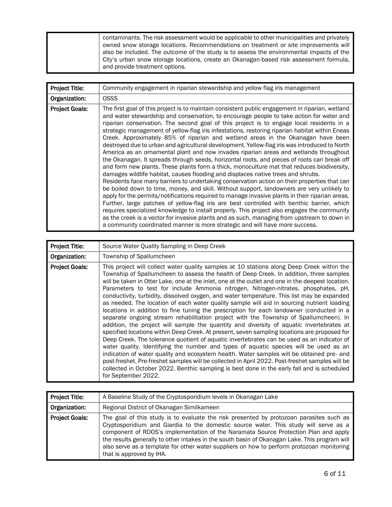| Project Title:        | Community engagement in riparian stewardship and yellow flag iris management                                                                                                                                                                                                                                                                                                                                                                                                                                                                                                                                                                                                                                                                                                                                                                                                                                                                                                                                                                                                                                                                                                                                                                                                                                                                                                                                                                                                                                                                                                                                                          |
|-----------------------|---------------------------------------------------------------------------------------------------------------------------------------------------------------------------------------------------------------------------------------------------------------------------------------------------------------------------------------------------------------------------------------------------------------------------------------------------------------------------------------------------------------------------------------------------------------------------------------------------------------------------------------------------------------------------------------------------------------------------------------------------------------------------------------------------------------------------------------------------------------------------------------------------------------------------------------------------------------------------------------------------------------------------------------------------------------------------------------------------------------------------------------------------------------------------------------------------------------------------------------------------------------------------------------------------------------------------------------------------------------------------------------------------------------------------------------------------------------------------------------------------------------------------------------------------------------------------------------------------------------------------------------|
| Organization:         | <b>OSSS</b>                                                                                                                                                                                                                                                                                                                                                                                                                                                                                                                                                                                                                                                                                                                                                                                                                                                                                                                                                                                                                                                                                                                                                                                                                                                                                                                                                                                                                                                                                                                                                                                                                           |
| <b>Project Goals:</b> | The first goal of this project is to maintain consistent public engagement in riparian, wetland<br>and water stewardship and conservation, to encourage people to take action for water and<br>riparian conservation. The second goal of this project is to engage local residents in a<br>strategic management of yellow-flag iris infestations, restoring riparian habitat within Eneas<br>Creek. Approximately 85% of riparian and wetland areas in the Okanagan have been<br>destroyed due to urban and agricultural development. Yellow-flag iris was introduced to North<br>America as an ornamental plant and now invades riparian areas and wetlands throughout<br>the Okanagan. It spreads through seeds, horizontal roots, and pieces of roots can break off<br>and form new plants. These plants form a thick, monoculture mat that reduces biodiversity,<br>damages wildlife habitat, causes flooding and displaces native trees and shrubs.<br>Residents face many barriers to undertaking conservation action on their properties that can<br>be boiled down to time, money, and skill. Without support, landowners are very unlikely to<br>apply for the permits/notifications required to manage invasive plants in their riparian areas.<br>Further, large patches of yellow-flag iris are best controlled with benthic barrier, which<br>requires specialized knowledge to install properly. This project also engages the community<br>as the creek is a vector for invasive plants and as such, managing from upstream to down in<br>a community coordinated manner is more strategic and will have more success. |

| Project Title:        | Source Water Quality Sampling in Deep Creek                                                                                                                                                                                                                                                                                                                                                                                                                                                                                                                                                                                                                                                                                                                                                                                                                                                                                                                                                                                                                                                                                                                                                                                                                                                                                                                                                                                                                                  |
|-----------------------|------------------------------------------------------------------------------------------------------------------------------------------------------------------------------------------------------------------------------------------------------------------------------------------------------------------------------------------------------------------------------------------------------------------------------------------------------------------------------------------------------------------------------------------------------------------------------------------------------------------------------------------------------------------------------------------------------------------------------------------------------------------------------------------------------------------------------------------------------------------------------------------------------------------------------------------------------------------------------------------------------------------------------------------------------------------------------------------------------------------------------------------------------------------------------------------------------------------------------------------------------------------------------------------------------------------------------------------------------------------------------------------------------------------------------------------------------------------------------|
| Organization:         | Township of Spallumcheen                                                                                                                                                                                                                                                                                                                                                                                                                                                                                                                                                                                                                                                                                                                                                                                                                                                                                                                                                                                                                                                                                                                                                                                                                                                                                                                                                                                                                                                     |
| <b>Project Goals:</b> | This project will collect water quality samples at 10 stations along Deep Creek within the<br>Township of Spallumcheen to assess the health of Deep Creek. In addition, three samples<br>will be taken in Otter Lake, one at the inlet, one at the outlet and one in the deepest location.<br>Parameters to test for include Ammonia nitrogen, Nitrogen-nitrates, phosphates, pH,<br>conductivity, turbidity, dissolved oxygen, and water temperature. This list may be expanded<br>as needed. The location of each water quality sample will aid in sourcing nutrient loading<br>locations in addition to fine tuning the prescription for each landowner (conducted in a<br>separate ongoing stream rehabilitation project with the Township of Spallumcheen). In<br>addition, the project will sample the quantity and diversity of aquatic invertebrates at<br>specified locations within Deep Creek. At present, seven sampling locations are proposed for<br>Deep Creek. The tolerance quotient of aquatic invertebrates can be used as an indicator of<br>water quality. Identifying the number and types of aquatic species will be used as an<br>indication of water quality and ecosystem health. Water samples will be obtained pre- and<br>post-freshet. Pre-freshet samples will be collected in April 2022. Post-freshet samples will be<br>collected in October 2022. Benthic sampling is best done in the early fall and is scheduled<br>for September 2022. |

| Project Title:        | A Baseline Study of the Cryptosporidium levels in Okanagan Lake                                                                                                                                                                                                                                                                                                                                                                                                                                  |
|-----------------------|--------------------------------------------------------------------------------------------------------------------------------------------------------------------------------------------------------------------------------------------------------------------------------------------------------------------------------------------------------------------------------------------------------------------------------------------------------------------------------------------------|
| Organization:         | Regional District of Okanagan Similkameen                                                                                                                                                                                                                                                                                                                                                                                                                                                        |
| <b>Project Goals:</b> | The goal of this study is to evaluate the risk presented by protozoan parasites such as<br>Cryptosporidium and Giardia to the domestic source water. This study will serve as a<br>component of RDOS's implementation of the Naramata Source Protection Plan and apply<br>the results generally to other intakes in the south basin of Okanagan Lake. This program will<br>also serve as a template for other water suppliers on how to perform protozoan monitoring<br>that is approved by IHA. |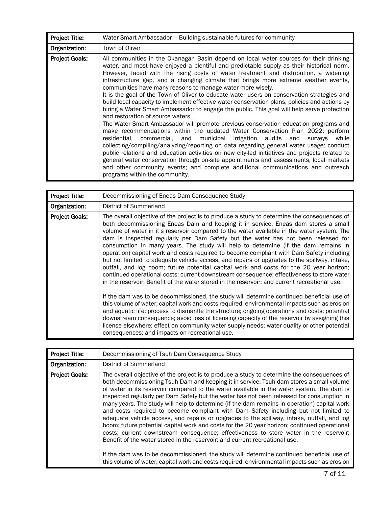| <b>Project Title:</b> | Water Smart Ambassador – Building sustainable futures for community                                                                                                                                                                                                                                                                                                                                                                                                                                                                                                                                                                                                                                                                                                                                                                                                                                                                                                                                                                                                                                                                                                                                                                                                                                                                                                                                                                     |
|-----------------------|-----------------------------------------------------------------------------------------------------------------------------------------------------------------------------------------------------------------------------------------------------------------------------------------------------------------------------------------------------------------------------------------------------------------------------------------------------------------------------------------------------------------------------------------------------------------------------------------------------------------------------------------------------------------------------------------------------------------------------------------------------------------------------------------------------------------------------------------------------------------------------------------------------------------------------------------------------------------------------------------------------------------------------------------------------------------------------------------------------------------------------------------------------------------------------------------------------------------------------------------------------------------------------------------------------------------------------------------------------------------------------------------------------------------------------------------|
| Organization:         | Town of Oliver                                                                                                                                                                                                                                                                                                                                                                                                                                                                                                                                                                                                                                                                                                                                                                                                                                                                                                                                                                                                                                                                                                                                                                                                                                                                                                                                                                                                                          |
| <b>Project Goals:</b> | All communities in the Okanagan Basin depend on local water sources for their drinking<br>water, and most have enjoyed a plentiful and predictable supply as their historical norm.<br>However, faced with the rising costs of water treatment and distribution, a widening<br>infrastructure gap, and a changing climate that brings more extreme weather events,<br>communities have many reasons to manage water more wisely.<br>It is the goal of the Town of Oliver to educate water users on conservation strategies and<br>build local capacity to implement effective water conservation plans, policies and actions by<br>hiring a Water Smart Ambassador to engage the public. This goal will help serve protection<br>and restoration of source waters.<br>The Water Smart Ambassador will promote previous conservation education programs and<br>make recommendations within the updated Water Conservation Plan 2022; perform<br>residential, commercial, and municipal irrigation audits and surveys<br>while<br>collecting/compiling/analyzing/reporting on data regarding general water usage; conduct<br>public relations and education activities on new city-led initiatives and projects related to<br>general water conservation through on-site appointments and assessments, local markets<br>and other community events; and complete additional communications and outreach<br>programs within the community. |

| Project Title:        | Decommissioning of Eneas Dam Consequence Study                                                                                                                                                                                                                                                                                                                                                                                                                                                                                                                                                                                                                                                                                                                                                                                                                                                                                                  |
|-----------------------|-------------------------------------------------------------------------------------------------------------------------------------------------------------------------------------------------------------------------------------------------------------------------------------------------------------------------------------------------------------------------------------------------------------------------------------------------------------------------------------------------------------------------------------------------------------------------------------------------------------------------------------------------------------------------------------------------------------------------------------------------------------------------------------------------------------------------------------------------------------------------------------------------------------------------------------------------|
| Organization:         | District of Summerland                                                                                                                                                                                                                                                                                                                                                                                                                                                                                                                                                                                                                                                                                                                                                                                                                                                                                                                          |
| <b>Project Goals:</b> | The overall objective of the project is to produce a study to determine the consequences of<br>both decommissioning Eneas Dam and keeping it in service. Eneas dam stores a small<br>volume of water in it's reservoir compared to the water available in the water system. The<br>dam is inspected regularly per Dam Safety but the water has not been released for<br>consumption in many years. The study will help to determine (if the dam remains in<br>operation) capital work and costs required to become compliant with Dam Safety including<br>but not limited to adequate vehicle access, and repairs or upgrades to the spillway, intake,<br>outfall, and log boom; future potential capital work and costs for the 20 year horizon;<br>continued operational costs; current downstream consequence; effectiveness to store water<br>in the reservoir; Benefit of the water stored in the reservoir; and current recreational use. |
|                       | If the dam was to be decommissioned, the study will determine continued beneficial use of<br>this volume of water; capital work and costs required; environmental impacts such as erosion<br>and aquatic life; process to dismantle the structure; ongoing operations and costs; potential<br>downstream consequence; avoid loss of licensing capacity of the reservoir by assigning this<br>license elsewhere; effect on community water supply needs; water quality or other potential<br>consequences; and impacts on recreational use.                                                                                                                                                                                                                                                                                                                                                                                                      |

| Project Title:        | Decommissioning of Tsuh Dam Consequence Study                                                                                                                                                                                                                                                                                                                                                                                                                                                                                                                                                                                                                                                                                                                                                                                                                                                                                                                                                                                             |
|-----------------------|-------------------------------------------------------------------------------------------------------------------------------------------------------------------------------------------------------------------------------------------------------------------------------------------------------------------------------------------------------------------------------------------------------------------------------------------------------------------------------------------------------------------------------------------------------------------------------------------------------------------------------------------------------------------------------------------------------------------------------------------------------------------------------------------------------------------------------------------------------------------------------------------------------------------------------------------------------------------------------------------------------------------------------------------|
| Organization:         | District of Summerland                                                                                                                                                                                                                                                                                                                                                                                                                                                                                                                                                                                                                                                                                                                                                                                                                                                                                                                                                                                                                    |
| <b>Project Goals:</b> | The overall objective of the project is to produce a study to determine the consequences of<br>both decommissioning Tsuh Dam and keeping it in service. Tsuh dam stores a small volume<br>of water in its reservoir compared to the water available in the water system. The dam is<br>inspected regularly per Dam Safety but the water has not been released for consumption in<br>many years. The study will help to determine (if the dam remains in operation) capital work<br>and costs required to become compliant with Dam Safety including but not limited to<br>adequate vehicle access, and repairs or upgrades to the spillway, intake, outfall, and log<br>boom; future potential capital work and costs for the 20 year horizon; continued operational<br>costs; current downstream consequence; effectiveness to store water in the reservoir;<br>Benefit of the water stored in the reservoir; and current recreational use.<br>If the dam was to be decommissioned, the study will determine continued beneficial use of |
|                       | this volume of water; capital work and costs required; environmental impacts such as erosion                                                                                                                                                                                                                                                                                                                                                                                                                                                                                                                                                                                                                                                                                                                                                                                                                                                                                                                                              |